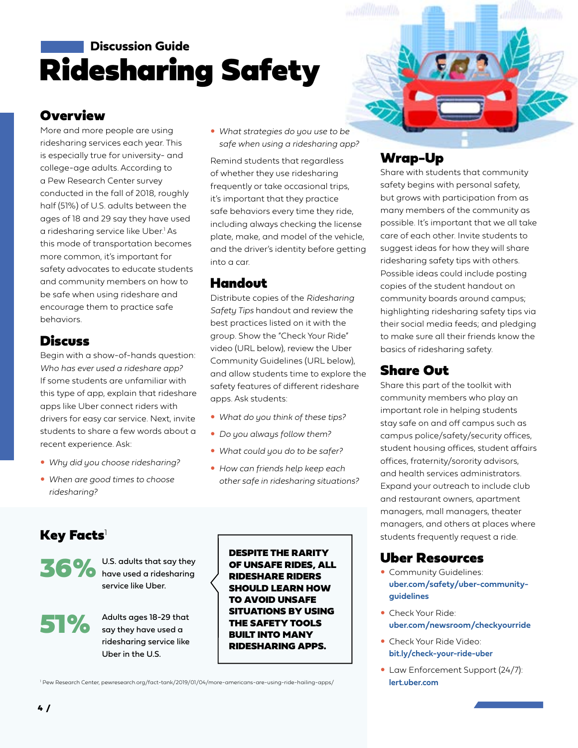# Ridesharing Safety **Discussion Guide**

#### **Overview**

More and more people are using ridesharing services each year. This is especially true for university- and college-age adults. According to a Pew Research Center survey conducted in the fall of 2018, roughly half (51%) of U.S. adults between the ages of 18 and 29 say they have used a ridesharing service like Uber.<sup>1</sup> As this mode of transportation becomes more common, it's important for safety advocates to educate students and community members on how to be safe when using rideshare and encourage them to practice safe behaviors.

#### **Discuss**

Begin with a show-of-hands question: *Who has ever used a rideshare app?*  If some students are unfamiliar with this type of app, explain that rideshare apps like Uber connect riders with drivers for easy car service. Next, invite students to share a few words about a recent experience. Ask:

- y *Why did you choose ridesharing?*
- y *When are good times to choose ridesharing?*

y *What strategies do you use to be safe when using a ridesharing app?* 

Remind students that regardless of whether they use ridesharing frequently or take occasional trips, it's important that they practice safe behaviors every time they ride, including always checking the license plate, make, and model of the vehicle, and the driver's identity before getting into a car.

#### Handout

Distribute copies of the *Ridesharing Safety Tips* handout and review the best practices listed on it with the group. Show the "Check Your Ride" video (URL below), review the Uber Community Guidelines (URL below), and allow students time to explore the safety features of different rideshare apps. Ask students:

- What do you think of these tips?
- Do you always follow them?
- What could you do to be safer?
- y *How can friends help keep each other safe in ridesharing situations?*

### $Key$  Facts<sup>1</sup>



U.S. adults that say they<br>
No have used a ridesharing have used a ridesharing service like Uber.



Adults ages 18-29 that say they have used a ridesharing service like Uber in the U.S.

DESPITE THE RARITY OF UNSAFE RIDES, ALL RIDESHARE RIDERS SHOULD LEARN HOW TO AVOID UNSAFE SITUATIONS BY USING THE SAFETY TOOLS BUILT INTO MANY RIDESHARING APPS.

#### 1 Pew Research Center, [pewresearch.org/fact-tank/2019/01/04/more-americans-are-using-ride-hailing-apps/](https://www.pewresearch.org/fact-tank/2019/01/04/more-americans-are-using-ride-hailing-apps/) **[lert.uber.com](https://lert.uber.com/s/login/)**



#### Wrap-Up

Share with students that community safety begins with personal safety, but grows with participation from as many members of the community as possible. It's important that we all take care of each other. Invite students to suggest ideas for how they will share ridesharing safety tips with others. Possible ideas could include posting copies of the student handout on community boards around campus; highlighting ridesharing safety tips via their social media feeds; and pledging to make sure all their friends know the basics of ridesharing safety.

### Share Out

Share this part of the toolkit with community members who play an important role in helping students stay safe on and off campus such as campus police/safety/security offices, student housing offices, student affairs offices, fraternity/sorority advisors, and health services administrators. Expand your outreach to include club and restaurant owners, apartment managers, mall managers, theater managers, and others at places where students frequently request a ride.

#### Uber Resources

- Community Guidelines: **[uber.com/safety/uber-community](https://www.uber.com/us/en/safety/uber-community-guidelines/)guidelines**
- Check Your Ride: **[uber.com/newsroom/checkyourride](https://www.uber.com/newsroom/checkyourride/)**
- **Check Your Ride Video: [bit.ly/check-your-ride-uber](https://youtu.be/BsbK8lGwemM)**
- Law Enforcement Support (24/7):